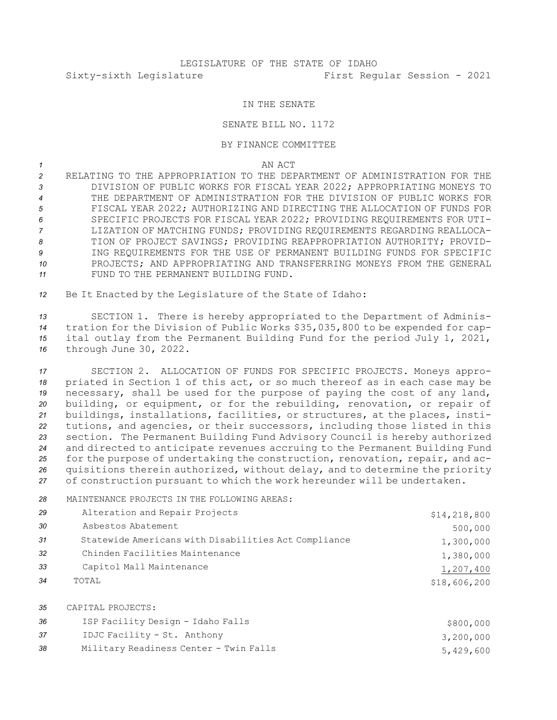## IN THE SENATE

## SENATE BILL NO. 1172

## BY FINANCE COMMITTEE

## *1* AN ACT

 RELATING TO THE APPROPRIATION TO THE DEPARTMENT OF ADMINISTRATION FOR THE DIVISION OF PUBLIC WORKS FOR FISCAL YEAR 2022; APPROPRIATING MONEYS TO THE DEPARTMENT OF ADMINISTRATION FOR THE DIVISION OF PUBLIC WORKS FOR FISCAL YEAR 2022; AUTHORIZING AND DIRECTING THE ALLOCATION OF FUNDS FOR SPECIFIC PROJECTS FOR FISCAL YEAR 2022; PROVIDING REQUIREMENTS FOR UTI- LIZATION OF MATCHING FUNDS; PROVIDING REQUIREMENTS REGARDING REALLOCA- TION OF PROJECT SAVINGS; PROVIDING REAPPROPRIATION AUTHORITY; PROVID- ING REQUIREMENTS FOR THE USE OF PERMANENT BUILDING FUNDS FOR SPECIFIC PROJECTS; AND APPROPRIATING AND TRANSFERRING MONEYS FROM THE GENERAL FUND TO THE PERMANENT BUILDING FUND.

*<sup>12</sup>* Be It Enacted by the Legislature of the State of Idaho:

 SECTION 1. There is hereby appropriated to the Department of Adminis- tration for the Division of Public Works \$35,035,800 to be expended for cap- ital outlay from the Permanent Building Fund for the period July 1, 2021, through June 30, 2022.

 SECTION 2. ALLOCATION OF FUNDS FOR SPECIFIC PROJECTS. Moneys appro- priated in Section 1 of this act, or so much thereof as in each case may be necessary, shall be used for the purpose of paying the cost of any land, building, or equipment, or for the rebuilding, renovation, or repair of buildings, installations, facilities, or structures, at the places, insti- tutions, and agencies, or their successors, including those listed in this section. The Permanent Building Fund Advisory Council is hereby authorized and directed to anticipate revenues accruing to the Permanent Building Fund for the purpose of undertaking the construction, renovation, repair, and ac- quisitions therein authorized, without delay, and to determine the priority of construction pursuant to which the work hereunder will be undertaken.

*28* MAINTENANCE PROJECTS IN THE FOLLOWING AREAS:

| 29 | Alteration and Repair Projects                       | \$14, 218, 800 |
|----|------------------------------------------------------|----------------|
| 30 | Asbestos Abatement                                   | 500,000        |
| 31 | Statewide Americans with Disabilities Act Compliance | 1,300,000      |
| 32 | Chinden Facilities Maintenance                       | 1,380,000      |
| 33 | Capitol Mall Maintenance                             | 1,207,400      |
| 34 | TOTAL                                                | \$18,606,200   |
| 35 | CAPITAL PROJECTS:                                    |                |
| 36 | ISP Facility Design - Idaho Falls                    | \$800,000      |
| 37 | IDJC Facility - St. Anthony                          | 3,200,000      |
| 38 | Military Readiness Center - Twin Falls               | 5,429,600      |